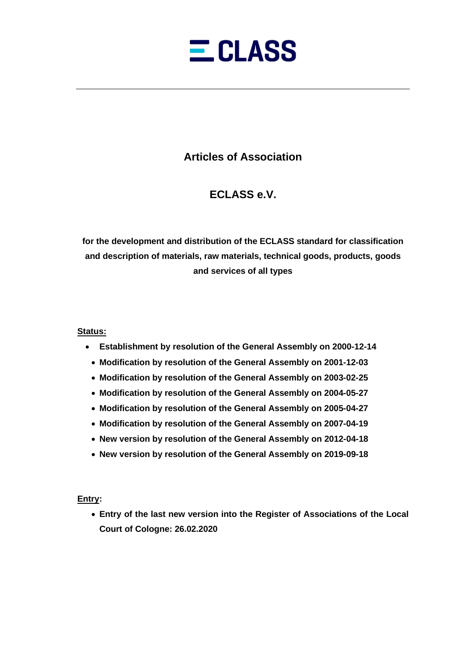

# **Articles of Association**

# **ECLASS e.V.**

**for the development and distribution of the ECLASS standard for classification and description of materials, raw materials, technical goods, products, goods and services of all types**

# **Status:**

- **Establishment by resolution of the General Assembly on 2000-12-14**
	- **Modification by resolution of the General Assembly on 2001-12-03**
	- **Modification by resolution of the General Assembly on 2003-02-25**
	- **Modification by resolution of the General Assembly on 2004-05-27**
	- **Modification by resolution of the General Assembly on 2005-04-27**
	- **Modification by resolution of the General Assembly on 2007-04-19**
	- **New version by resolution of the General Assembly on 2012-04-18**
	- **New version by resolution of the General Assembly on 2019-09-18**

# **Entry:**

• **Entry of the last new version into the Register of Associations of the Local Court of Cologne: 26.02.2020**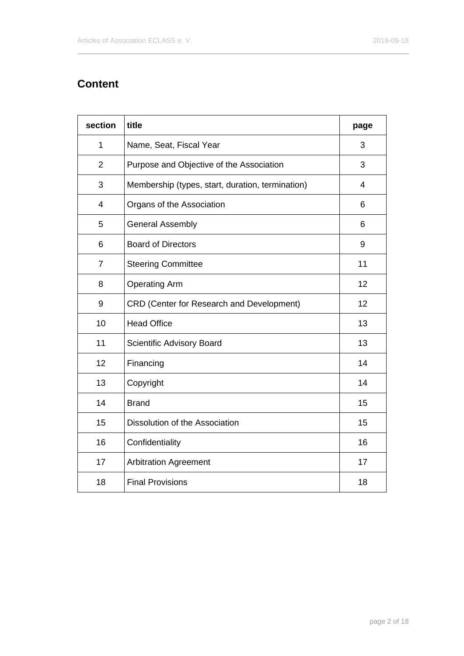# **Content**

| section        | title                                            | page |
|----------------|--------------------------------------------------|------|
| 1              | Name, Seat, Fiscal Year                          | 3    |
| $\overline{2}$ | Purpose and Objective of the Association         | 3    |
| 3              | Membership (types, start, duration, termination) | 4    |
| $\overline{4}$ | Organs of the Association                        | 6    |
| 5              | <b>General Assembly</b>                          | 6    |
| 6              | <b>Board of Directors</b>                        | 9    |
| $\overline{7}$ | <b>Steering Committee</b>                        | 11   |
| 8              | <b>Operating Arm</b>                             | 12   |
| 9              | <b>CRD (Center for Research and Development)</b> | 12   |
| 10             | <b>Head Office</b>                               | 13   |
| 11             | Scientific Advisory Board                        | 13   |
| 12             | Financing                                        | 14   |
| 13             | Copyright                                        | 14   |
| 14             | <b>Brand</b>                                     | 15   |
| 15             | Dissolution of the Association                   | 15   |
| 16             | Confidentiality                                  | 16   |
| 17             | <b>Arbitration Agreement</b>                     | 17   |
| 18             | <b>Final Provisions</b>                          | 18   |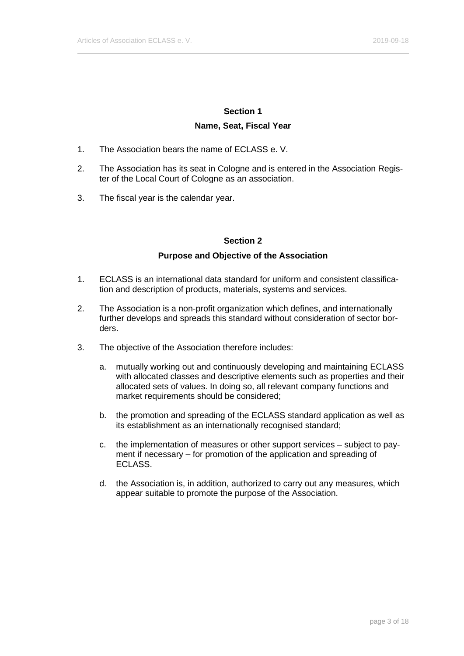# **Section 1 Name, Seat, Fiscal Year**

- 1. The Association bears the name of ECLASS e. V.
- 2. The Association has its seat in Cologne and is entered in the Association Register of the Local Court of Cologne as an association.
- 3. The fiscal year is the calendar year.

### **Section 2**

### **Purpose and Objective of the Association**

- 1. ECLASS is an international data standard for uniform and consistent classification and description of products, materials, systems and services.
- 2. The Association is a non-profit organization which defines, and internationally further develops and spreads this standard without consideration of sector borders.
- 3. The objective of the Association therefore includes:
	- a. mutually working out and continuously developing and maintaining ECLASS with allocated classes and descriptive elements such as properties and their allocated sets of values. In doing so, all relevant company functions and market requirements should be considered;
	- b. the promotion and spreading of the ECLASS standard application as well as its establishment as an internationally recognised standard;
	- c. the implementation of measures or other support services subject to payment if necessary – for promotion of the application and spreading of ECLASS.
	- d. the Association is, in addition, authorized to carry out any measures, which appear suitable to promote the purpose of the Association.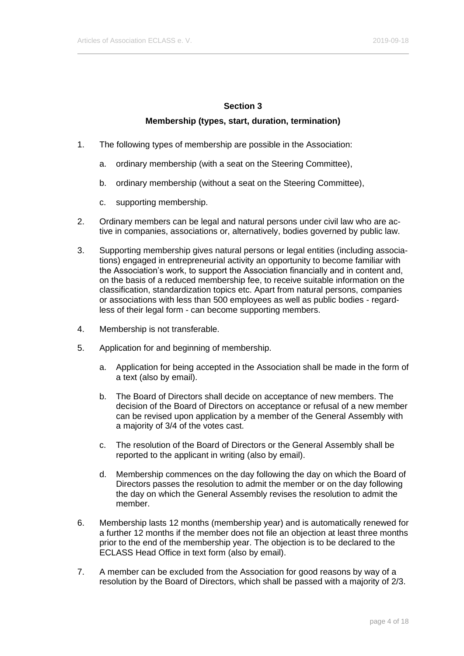### **Membership (types, start, duration, termination)**

- 1. The following types of membership are possible in the Association:
	- a. ordinary membership (with a seat on the Steering Committee),
	- b. ordinary membership (without a seat on the Steering Committee),
	- c. supporting membership.
- 2. Ordinary members can be legal and natural persons under civil law who are active in companies, associations or, alternatively, bodies governed by public law.
- 3. Supporting membership gives natural persons or legal entities (including associations) engaged in entrepreneurial activity an opportunity to become familiar with the Association's work, to support the Association financially and in content and, on the basis of a reduced membership fee, to receive suitable information on the classification, standardization topics etc. Apart from natural persons, companies or associations with less than 500 employees as well as public bodies - regardless of their legal form - can become supporting members.
- 4. Membership is not transferable.
- 5. Application for and beginning of membership.
	- a. Application for being accepted in the Association shall be made in the form of a text (also by email).
	- b. The Board of Directors shall decide on acceptance of new members. The decision of the Board of Directors on acceptance or refusal of a new member can be revised upon application by a member of the General Assembly with a majority of 3/4 of the votes cast.
	- c. The resolution of the Board of Directors or the General Assembly shall be reported to the applicant in writing (also by email).
	- d. Membership commences on the day following the day on which the Board of Directors passes the resolution to admit the member or on the day following the day on which the General Assembly revises the resolution to admit the member.
- 6. Membership lasts 12 months (membership year) and is automatically renewed for a further 12 months if the member does not file an objection at least three months prior to the end of the membership year. The objection is to be declared to the ECLASS Head Office in text form (also by email).
- 7. A member can be excluded from the Association for good reasons by way of a resolution by the Board of Directors, which shall be passed with a majority of 2/3.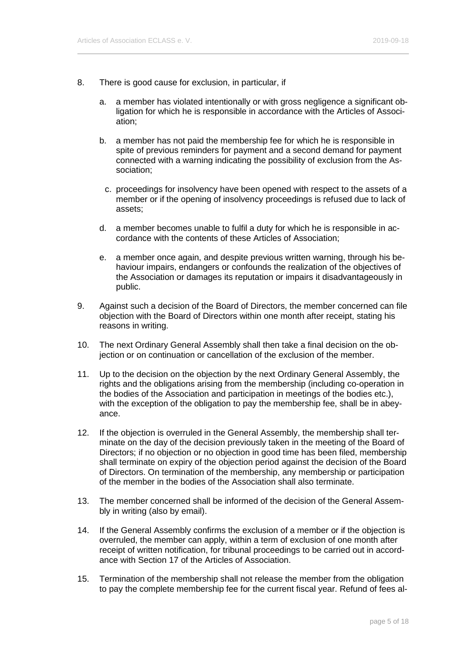- 8. There is good cause for exclusion, in particular, if
	- a. a member has violated intentionally or with gross negligence a significant obligation for which he is responsible in accordance with the Articles of Association;
	- b. a member has not paid the membership fee for which he is responsible in spite of previous reminders for payment and a second demand for payment connected with a warning indicating the possibility of exclusion from the Association;
		- c. proceedings for insolvency have been opened with respect to the assets of a member or if the opening of insolvency proceedings is refused due to lack of assets;
	- d. a member becomes unable to fulfil a duty for which he is responsible in accordance with the contents of these Articles of Association;
	- e. a member once again, and despite previous written warning, through his behaviour impairs, endangers or confounds the realization of the objectives of the Association or damages its reputation or impairs it disadvantageously in public.
- 9. Against such a decision of the Board of Directors, the member concerned can file objection with the Board of Directors within one month after receipt, stating his reasons in writing.
- 10. The next Ordinary General Assembly shall then take a final decision on the objection or on continuation or cancellation of the exclusion of the member.
- 11. Up to the decision on the objection by the next Ordinary General Assembly, the rights and the obligations arising from the membership (including co-operation in the bodies of the Association and participation in meetings of the bodies etc.), with the exception of the obligation to pay the membership fee, shall be in abeyance.
- 12. If the objection is overruled in the General Assembly, the membership shall terminate on the day of the decision previously taken in the meeting of the Board of Directors; if no objection or no objection in good time has been filed, membership shall terminate on expiry of the objection period against the decision of the Board of Directors. On termination of the membership, any membership or participation of the member in the bodies of the Association shall also terminate.
- 13. The member concerned shall be informed of the decision of the General Assembly in writing (also by email).
- 14. If the General Assembly confirms the exclusion of a member or if the objection is overruled, the member can apply, within a term of exclusion of one month after receipt of written notification, for tribunal proceedings to be carried out in accordance with [Section 17](#page-16-0) of the Articles of Association.
- 15. Termination of the membership shall not release the member from the obligation to pay the complete membership fee for the current fiscal year. Refund of fees al-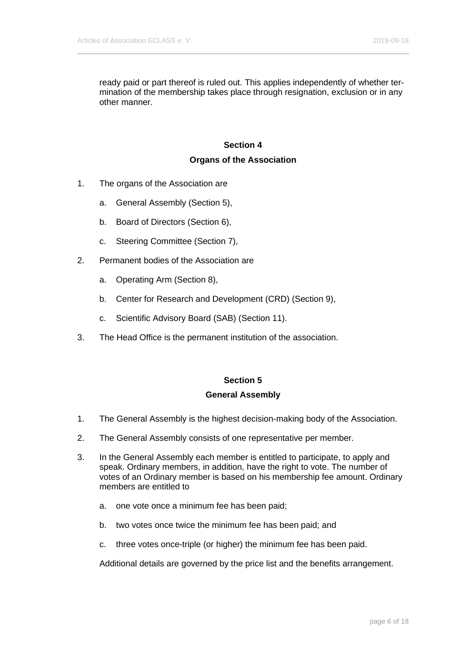ready paid or part thereof is ruled out. This applies independently of whether termination of the membership takes place through resignation, exclusion or in any other manner.

# **Section 4**

#### **Organs of the Association**

- 1. The organs of the Association are
	- a. General Assembly [\(Section 5\)](#page-5-0),
	- b. Board of Directors [\(Section 6\)](#page-8-0),
	- c. Steering Committee [\(Section 7\)](#page-10-0),
- 2. Permanent bodies of the Association are
	- a. Operating Arm (Section 8),
	- b. Center for Research and Development (CRD) (Section 9),
	- c. Scientific Advisory Board (SAB) (Section 11).
- <span id="page-5-0"></span>3. The Head Office is the permanent institution of the association.

### **Section 5**

#### **General Assembly**

- 1. The General Assembly is the highest decision-making body of the Association.
- 2. The General Assembly consists of one representative per member.
- 3. In the General Assembly each member is entitled to participate, to apply and speak. Ordinary members, in addition, have the right to vote. The number of votes of an Ordinary member is based on his membership fee amount. Ordinary members are entitled to
	- a. one vote once a minimum fee has been paid;
	- b. two votes once twice the minimum fee has been paid; and
	- c. three votes once-triple (or higher) the minimum fee has been paid.

Additional details are governed by the price list and the benefits arrangement.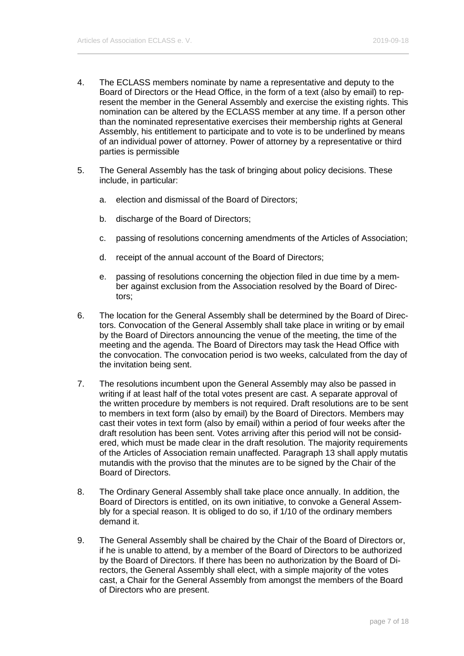- 4. The ECLASS members nominate by name a representative and deputy to the Board of Directors or the Head Office, in the form of a text (also by email) to represent the member in the General Assembly and exercise the existing rights. This nomination can be altered by the ECLASS member at any time. If a person other than the nominated representative exercises their membership rights at General Assembly, his entitlement to participate and to vote is to be underlined by means of an individual power of attorney. Power of attorney by a representative or third parties is permissible
- 5. The General Assembly has the task of bringing about policy decisions. These include, in particular:
	- a. election and dismissal of the Board of Directors;
	- b. discharge of the Board of Directors;
	- c. passing of resolutions concerning amendments of the Articles of Association;
	- d. receipt of the annual account of the Board of Directors;
	- e. passing of resolutions concerning the objection filed in due time by a member against exclusion from the Association resolved by the Board of Directors;
- 6. The location for the General Assembly shall be determined by the Board of Directors. Convocation of the General Assembly shall take place in writing or by email by the Board of Directors announcing the venue of the meeting, the time of the meeting and the agenda. The Board of Directors may task the Head Office with the convocation. The convocation period is two weeks, calculated from the day of the invitation being sent.
- 7. The resolutions incumbent upon the General Assembly may also be passed in writing if at least half of the total votes present are cast. A separate approval of the written procedure by members is not required. Draft resolutions are to be sent to members in text form (also by email) by the Board of Directors. Members may cast their votes in text form (also by email) within a period of four weeks after the draft resolution has been sent. Votes arriving after this period will not be considered, which must be made clear in the draft resolution. The majority requirements of the Articles of Association remain unaffected. Paragraph 13 shall apply mutatis mutandis with the proviso that the minutes are to be signed by the Chair of the Board of Directors.
- 8. The Ordinary General Assembly shall take place once annually. In addition, the Board of Directors is entitled, on its own initiative, to convoke a General Assembly for a special reason. It is obliged to do so, if 1/10 of the ordinary members demand it.
- 9. The General Assembly shall be chaired by the Chair of the Board of Directors or, if he is unable to attend, by a member of the Board of Directors to be authorized by the Board of Directors. If there has been no authorization by the Board of Directors, the General Assembly shall elect, with a simple majority of the votes cast, a Chair for the General Assembly from amongst the members of the Board of Directors who are present.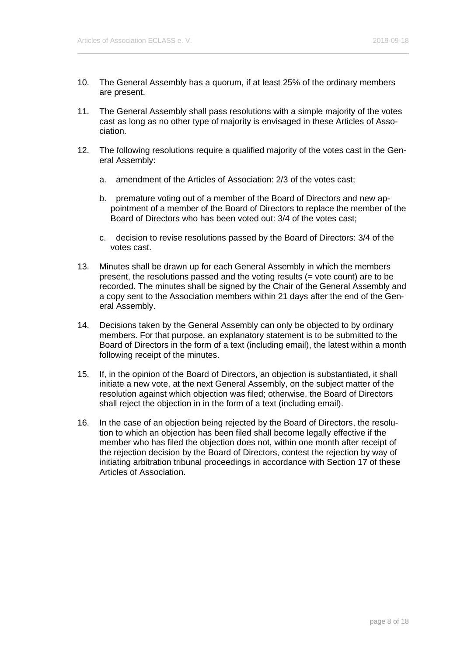- 10. The General Assembly has a quorum, if at least 25% of the ordinary members are present.
- 11. The General Assembly shall pass resolutions with a simple majority of the votes cast as long as no other type of majority is envisaged in these Articles of Association.
- 12. The following resolutions require a qualified majority of the votes cast in the General Assembly:
	- a. amendment of the Articles of Association: 2/3 of the votes cast;
	- b. premature voting out of a member of the Board of Directors and new appointment of a member of the Board of Directors to replace the member of the Board of Directors who has been voted out: 3/4 of the votes cast;
	- c. decision to revise resolutions passed by the Board of Directors: 3/4 of the votes cast.
- 13. Minutes shall be drawn up for each General Assembly in which the members present, the resolutions passed and the voting results (= vote count) are to be recorded. The minutes shall be signed by the Chair of the General Assembly and a copy sent to the Association members within 21 days after the end of the General Assembly.
- 14. Decisions taken by the General Assembly can only be objected to by ordinary members. For that purpose, an explanatory statement is to be submitted to the Board of Directors in the form of a text (including email), the latest within a month following receipt of the minutes.
- 15. If, in the opinion of the Board of Directors, an objection is substantiated, it shall initiate a new vote, at the next General Assembly, on the subject matter of the resolution against which objection was filed; otherwise, the Board of Directors shall reject the objection in in the form of a text (including email).
- 16. In the case of an objection being rejected by the Board of Directors, the resolution to which an objection has been filed shall become legally effective if the member who has filed the objection does not, within one month after receipt of the rejection decision by the Board of Directors, contest the rejection by way of initiating arbitration tribunal proceedings in accordance with [Section 17](#page-16-0) of these Articles of Association.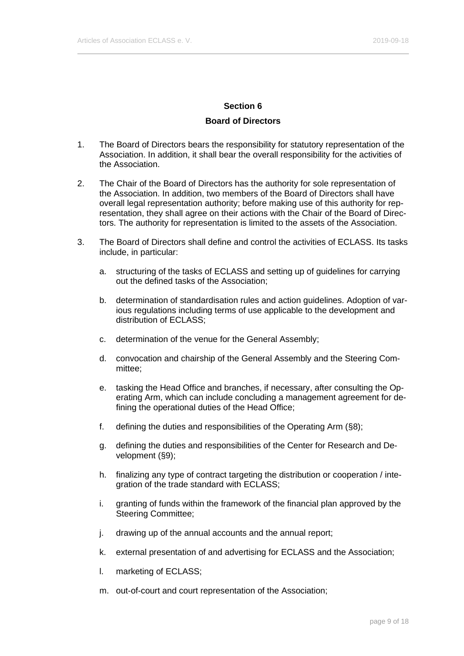#### **Board of Directors**

- <span id="page-8-0"></span>1. The Board of Directors bears the responsibility for statutory representation of the Association. In addition, it shall bear the overall responsibility for the activities of the Association.
- 2. The Chair of the Board of Directors has the authority for sole representation of the Association. In addition, two members of the Board of Directors shall have overall legal representation authority; before making use of this authority for representation, they shall agree on their actions with the Chair of the Board of Directors. The authority for representation is limited to the assets of the Association.
- 3. The Board of Directors shall define and control the activities of ECLASS. Its tasks include, in particular:
	- a. structuring of the tasks of ECLASS and setting up of guidelines for carrying out the defined tasks of the Association;
	- b. determination of standardisation rules and action guidelines. Adoption of various regulations including terms of use applicable to the development and distribution of ECLASS;
	- c. determination of the venue for the General Assembly;
	- d. convocation and chairship of the General Assembly and the Steering Committee;
	- e. tasking the Head Office and branches, if necessary, after consulting the Operating Arm, which can include concluding a management agreement for defining the operational duties of the Head Office;
	- f. defining the duties and responsibilities of the Operating Arm (§8);
	- g. defining the duties and responsibilities of the Center for Research and Development (§9);
	- h. finalizing any type of contract targeting the distribution or cooperation / integration of the trade standard with ECLASS;
	- i. granting of funds within the framework of the financial plan approved by the Steering Committee;
	- j. drawing up of the annual accounts and the annual report;
	- k. external presentation of and advertising for ECLASS and the Association;
	- l. marketing of ECLASS;
	- m. out-of-court and court representation of the Association;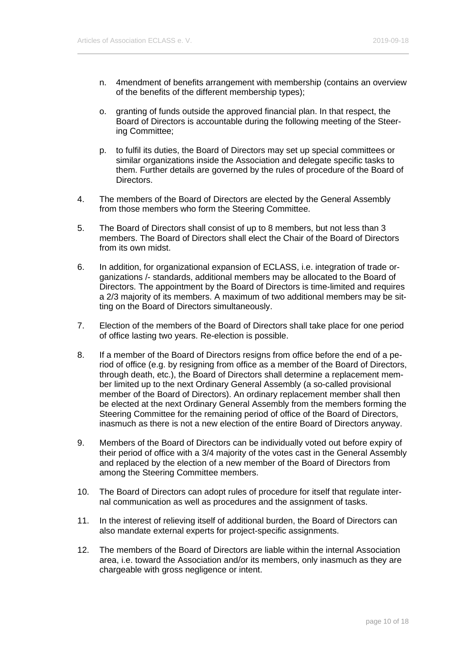- n. 4mendment of benefits arrangement with membership (contains an overview of the benefits of the different membership types);
- o. granting of funds outside the approved financial plan. In that respect, the Board of Directors is accountable during the following meeting of the Steering Committee;
- p. to fulfil its duties, the Board of Directors may set up special committees or similar organizations inside the Association and delegate specific tasks to them. Further details are governed by the rules of procedure of the Board of Directors.
- 4. The members of the Board of Directors are elected by the General Assembly from those members who form the Steering Committee.
- 5. The Board of Directors shall consist of up to 8 members, but not less than 3 members. The Board of Directors shall elect the Chair of the Board of Directors from its own midst.
- 6. In addition, for organizational expansion of ECLASS, i.e. integration of trade organizations /- standards, additional members may be allocated to the Board of Directors. The appointment by the Board of Directors is time-limited and requires a 2/3 majority of its members. A maximum of two additional members may be sitting on the Board of Directors simultaneously.
- 7. Election of the members of the Board of Directors shall take place for one period of office lasting two years. Re-election is possible.
- 8. If a member of the Board of Directors resigns from office before the end of a period of office (e.g. by resigning from office as a member of the Board of Directors, through death, etc.), the Board of Directors shall determine a replacement member limited up to the next Ordinary General Assembly (a so-called provisional member of the Board of Directors). An ordinary replacement member shall then be elected at the next Ordinary General Assembly from the members forming the Steering Committee for the remaining period of office of the Board of Directors, inasmuch as there is not a new election of the entire Board of Directors anyway.
- 9. Members of the Board of Directors can be individually voted out before expiry of their period of office with a 3/4 majority of the votes cast in the General Assembly and replaced by the election of a new member of the Board of Directors from among the Steering Committee members.
- 10. The Board of Directors can adopt rules of procedure for itself that regulate internal communication as well as procedures and the assignment of tasks.
- 11. In the interest of relieving itself of additional burden, the Board of Directors can also mandate external experts for project-specific assignments.
- 12. The members of the Board of Directors are liable within the internal Association area, i.e. toward the Association and/or its members, only inasmuch as they are chargeable with gross negligence or intent.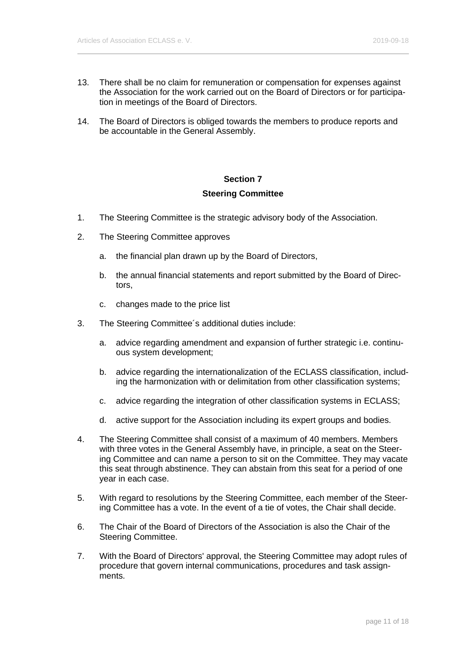- 13. There shall be no claim for remuneration or compensation for expenses against the Association for the work carried out on the Board of Directors or for participation in meetings of the Board of Directors.
- 14. The Board of Directors is obliged towards the members to produce reports and be accountable in the General Assembly.

# **Section 7 Steering Committee**

- <span id="page-10-0"></span>1. The Steering Committee is the strategic advisory body of the Association.
- 2. The Steering Committee approves
	- a. the financial plan drawn up by the Board of Directors,
	- b. the annual financial statements and report submitted by the Board of Directors,
	- c. changes made to the price list
- 3. The Steering Committee´s additional duties include:
	- a. advice regarding amendment and expansion of further strategic i.e. continuous system development;
	- b. advice regarding the internationalization of the ECLASS classification, including the harmonization with or delimitation from other classification systems;
	- c. advice regarding the integration of other classification systems in ECLASS;
	- d. active support for the Association including its expert groups and bodies.
- 4. The Steering Committee shall consist of a maximum of 40 members. Members with three votes in the General Assembly have, in principle, a seat on the Steering Committee and can name a person to sit on the Committee. They may vacate this seat through abstinence. They can abstain from this seat for a period of one year in each case.
- 5. With regard to resolutions by the Steering Committee, each member of the Steering Committee has a vote. In the event of a tie of votes, the Chair shall decide.
- 6. The Chair of the Board of Directors of the Association is also the Chair of the Steering Committee.
- 7. With the Board of Directors' approval, the Steering Committee may adopt rules of procedure that govern internal communications, procedures and task assignments.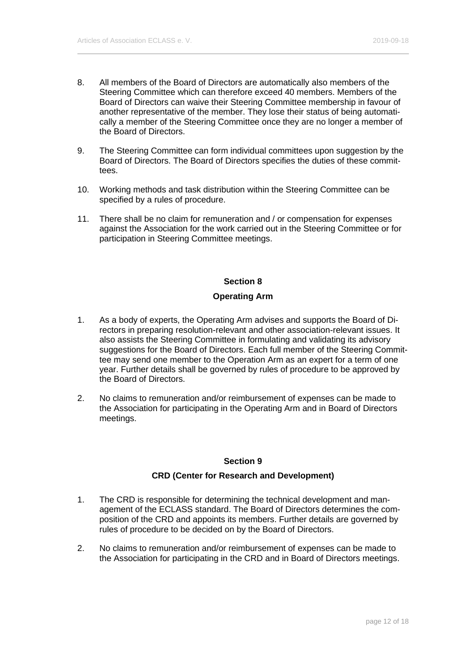- 8. All members of the Board of Directors are automatically also members of the Steering Committee which can therefore exceed 40 members. Members of the Board of Directors can waive their Steering Committee membership in favour of another representative of the member. They lose their status of being automatically a member of the Steering Committee once they are no longer a member of the Board of Directors.
- 9. The Steering Committee can form individual committees upon suggestion by the Board of Directors. The Board of Directors specifies the duties of these committees.
- 10. Working methods and task distribution within the Steering Committee can be specified by a rules of procedure.
- 11. There shall be no claim for remuneration and / or compensation for expenses against the Association for the work carried out in the Steering Committee or for participation in Steering Committee meetings.

#### **Operating Arm**

- 1. As a body of experts, the Operating Arm advises and supports the Board of Directors in preparing resolution-relevant and other association-relevant issues. It also assists the Steering Committee in formulating and validating its advisory suggestions for the Board of Directors. Each full member of the Steering Committee may send one member to the Operation Arm as an expert for a term of one year. Further details shall be governed by rules of procedure to be approved by the Board of Directors.
- 2. No claims to remuneration and/or reimbursement of expenses can be made to the Association for participating in the Operating Arm and in Board of Directors meetings.

#### **Section 9**

#### **CRD (Center for Research and Development)**

- 1. The CRD is responsible for determining the technical development and management of the ECLASS standard. The Board of Directors determines the composition of the CRD and appoints its members. Further details are governed by rules of procedure to be decided on by the Board of Directors.
- 2. No claims to remuneration and/or reimbursement of expenses can be made to the Association for participating in the CRD and in Board of Directors meetings.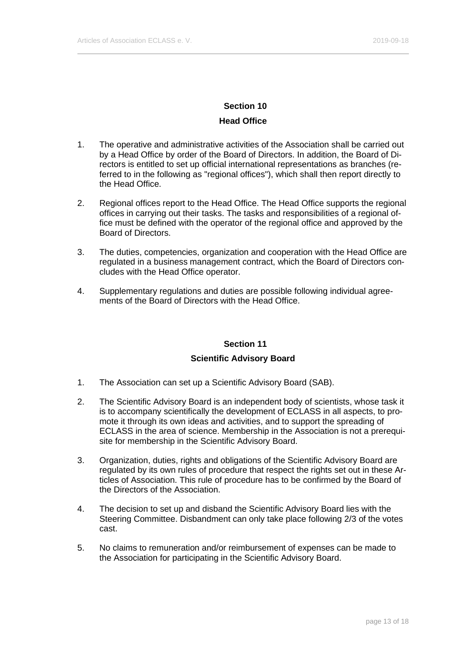# **Head Office**

- 1. The operative and administrative activities of the Association shall be carried out by a Head Office by order of the Board of Directors. In addition, the Board of Directors is entitled to set up official international representations as branches (referred to in the following as "regional offices"), which shall then report directly to the Head Office.
- 2. Regional offices report to the Head Office. The Head Office supports the regional offices in carrying out their tasks. The tasks and responsibilities of a regional office must be defined with the operator of the regional office and approved by the Board of Directors.
- 3. The duties, competencies, organization and cooperation with the Head Office are regulated in a business management contract, which the Board of Directors concludes with the Head Office operator.
- 4. Supplementary regulations and duties are possible following individual agreements of the Board of Directors with the Head Office.

#### **Section 11**

#### **Scientific Advisory Board**

- 1. The Association can set up a Scientific Advisory Board (SAB).
- 2. The Scientific Advisory Board is an independent body of scientists, whose task it is to accompany scientifically the development of ECLASS in all aspects, to promote it through its own ideas and activities, and to support the spreading of ECLASS in the area of science. Membership in the Association is not a prerequisite for membership in the Scientific Advisory Board.
- 3. Organization, duties, rights and obligations of the Scientific Advisory Board are regulated by its own rules of procedure that respect the rights set out in these Articles of Association. This rule of procedure has to be confirmed by the Board of the Directors of the Association.
- 4. The decision to set up and disband the Scientific Advisory Board lies with the Steering Committee. Disbandment can only take place following 2/3 of the votes cast.
- 5. No claims to remuneration and/or reimbursement of expenses can be made to the Association for participating in the Scientific Advisory Board.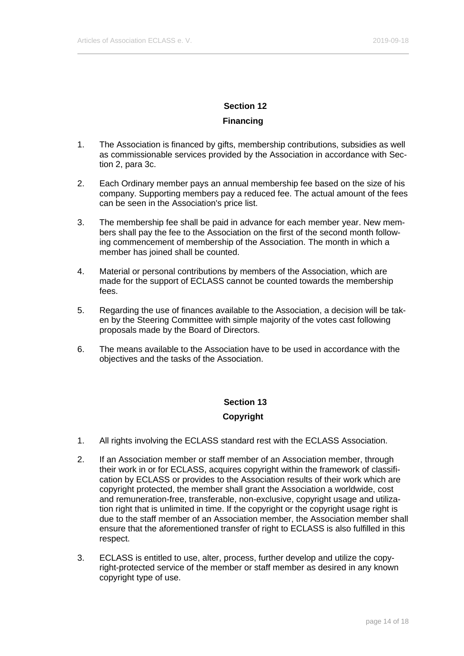# **Financing**

- 1. The Association is financed by gifts, membership contributions, subsidies as well as commissionable services provided by the Association in accordance with Section 2, para 3c.
- 2. Each Ordinary member pays an annual membership fee based on the size of his company. Supporting members pay a reduced fee. The actual amount of the fees can be seen in the Association's price list.
- 3. The membership fee shall be paid in advance for each member year. New members shall pay the fee to the Association on the first of the second month following commencement of membership of the Association. The month in which a member has joined shall be counted.
- 4. Material or personal contributions by members of the Association, which are made for the support of ECLASS cannot be counted towards the membership fees.
- 5. Regarding the use of finances available to the Association, a decision will be taken by the Steering Committee with simple majority of the votes cast following proposals made by the Board of Directors.
- 6. The means available to the Association have to be used in accordance with the objectives and the tasks of the Association.

# **Section 13**

# **Copyright**

- 1. All rights involving the ECLASS standard rest with the ECLASS Association.
- 2. If an Association member or staff member of an Association member, through their work in or for ECLASS, acquires copyright within the framework of classification by ECLASS or provides to the Association results of their work which are copyright protected, the member shall grant the Association a worldwide, cost and remuneration-free, transferable, non-exclusive, copyright usage and utilization right that is unlimited in time. If the copyright or the copyright usage right is due to the staff member of an Association member, the Association member shall ensure that the aforementioned transfer of right to ECLASS is also fulfilled in this respect.
- 3. ECLASS is entitled to use, alter, process, further develop and utilize the copyright-protected service of the member or staff member as desired in any known copyright type of use.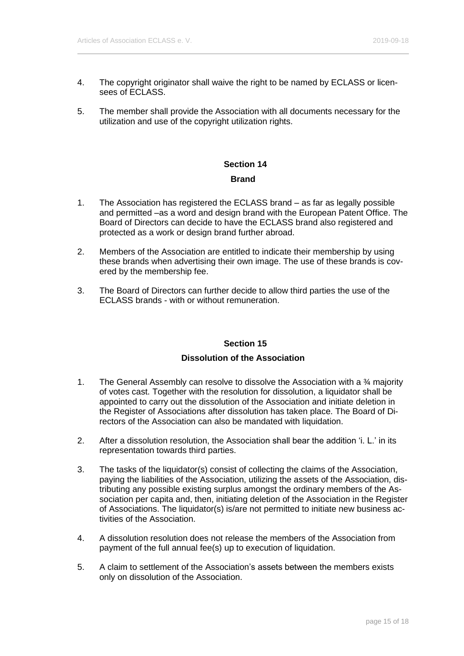- 4. The copyright originator shall waive the right to be named by ECLASS or licensees of **FCLASS**
- 5. The member shall provide the Association with all documents necessary for the utilization and use of the copyright utilization rights.

# **Section 14 Brand**

- 1. The Association has registered the ECLASS brand as far as legally possible and permitted –as a word and design brand with the European Patent Office. The Board of Directors can decide to have the ECLASS brand also registered and protected as a work or design brand further abroad.
- 2. Members of the Association are entitled to indicate their membership by using these brands when advertising their own image. The use of these brands is covered by the membership fee.
- 3. The Board of Directors can further decide to allow third parties the use of the ECLASS brands - with or without remuneration.

# **Section 15**

### **Dissolution of the Association**

- 1. The General Assembly can resolve to dissolve the Association with a ¾ majority of votes cast. Together with the resolution for dissolution, a liquidator shall be appointed to carry out the dissolution of the Association and initiate deletion in the Register of Associations after dissolution has taken place. The Board of Directors of the Association can also be mandated with liquidation.
- 2. After a dissolution resolution, the Association shall bear the addition 'i. L.' in its representation towards third parties.
- 3. The tasks of the liquidator(s) consist of collecting the claims of the Association, paying the liabilities of the Association, utilizing the assets of the Association, distributing any possible existing surplus amongst the ordinary members of the Association per capita and, then, initiating deletion of the Association in the Register of Associations. The liquidator(s) is/are not permitted to initiate new business activities of the Association.
- 4. A dissolution resolution does not release the members of the Association from payment of the full annual fee(s) up to execution of liquidation.
- 5. A claim to settlement of the Association's assets between the members exists only on dissolution of the Association.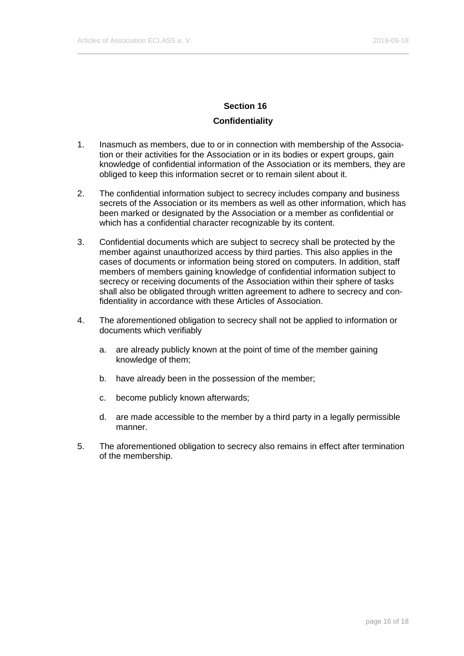#### **Confidentiality**

- 1. Inasmuch as members, due to or in connection with membership of the Association or their activities for the Association or in its bodies or expert groups, gain knowledge of confidential information of the Association or its members, they are obliged to keep this information secret or to remain silent about it.
- 2. The confidential information subject to secrecy includes company and business secrets of the Association or its members as well as other information, which has been marked or designated by the Association or a member as confidential or which has a confidential character recognizable by its content.
- 3. Confidential documents which are subject to secrecy shall be protected by the member against unauthorized access by third parties. This also applies in the cases of documents or information being stored on computers. In addition, staff members of members gaining knowledge of confidential information subject to secrecy or receiving documents of the Association within their sphere of tasks shall also be obligated through written agreement to adhere to secrecy and confidentiality in accordance with these Articles of Association.
- 4. The aforementioned obligation to secrecy shall not be applied to information or documents which verifiably
	- a. are already publicly known at the point of time of the member gaining knowledge of them;
	- b. have already been in the possession of the member;
	- c. become publicly known afterwards;
	- d. are made accessible to the member by a third party in a legally permissible manner.
- 5. The aforementioned obligation to secrecy also remains in effect after termination of the membership.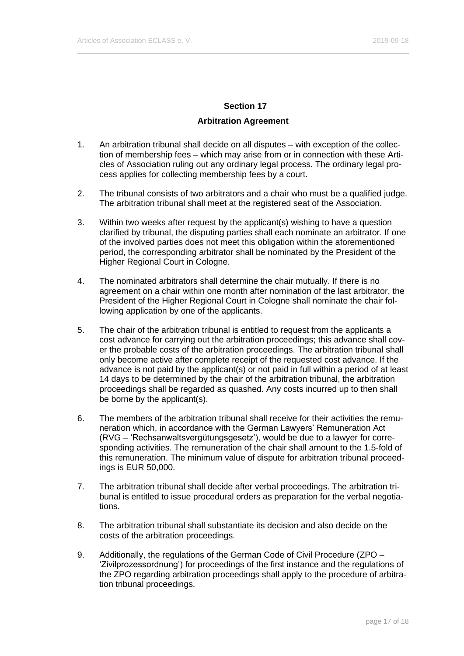#### **Arbitration Agreement**

- <span id="page-16-0"></span>1. An arbitration tribunal shall decide on all disputes – with exception of the collection of membership fees – which may arise from or in connection with these Articles of Association ruling out any ordinary legal process. The ordinary legal process applies for collecting membership fees by a court.
- 2. The tribunal consists of two arbitrators and a chair who must be a qualified judge. The arbitration tribunal shall meet at the registered seat of the Association.
- 3. Within two weeks after request by the applicant(s) wishing to have a question clarified by tribunal, the disputing parties shall each nominate an arbitrator. If one of the involved parties does not meet this obligation within the aforementioned period, the corresponding arbitrator shall be nominated by the President of the Higher Regional Court in Cologne.
- 4. The nominated arbitrators shall determine the chair mutually. If there is no agreement on a chair within one month after nomination of the last arbitrator, the President of the Higher Regional Court in Cologne shall nominate the chair following application by one of the applicants.
- 5. The chair of the arbitration tribunal is entitled to request from the applicants a cost advance for carrying out the arbitration proceedings; this advance shall cover the probable costs of the arbitration proceedings. The arbitration tribunal shall only become active after complete receipt of the requested cost advance. If the advance is not paid by the applicant(s) or not paid in full within a period of at least 14 days to be determined by the chair of the arbitration tribunal, the arbitration proceedings shall be regarded as quashed. Any costs incurred up to then shall be borne by the applicant(s).
- 6. The members of the arbitration tribunal shall receive for their activities the remuneration which, in accordance with the German Lawyers' Remuneration Act (RVG – 'Rechsanwaltsvergütungsgesetz'), would be due to a lawyer for corresponding activities. The remuneration of the chair shall amount to the 1.5-fold of this remuneration. The minimum value of dispute for arbitration tribunal proceedings is EUR 50,000.
- 7. The arbitration tribunal shall decide after verbal proceedings. The arbitration tribunal is entitled to issue procedural orders as preparation for the verbal negotiations.
- 8. The arbitration tribunal shall substantiate its decision and also decide on the costs of the arbitration proceedings.
- 9. Additionally, the regulations of the German Code of Civil Procedure (ZPO 'Zivilprozessordnung') for proceedings of the first instance and the regulations of the ZPO regarding arbitration proceedings shall apply to the procedure of arbitration tribunal proceedings.